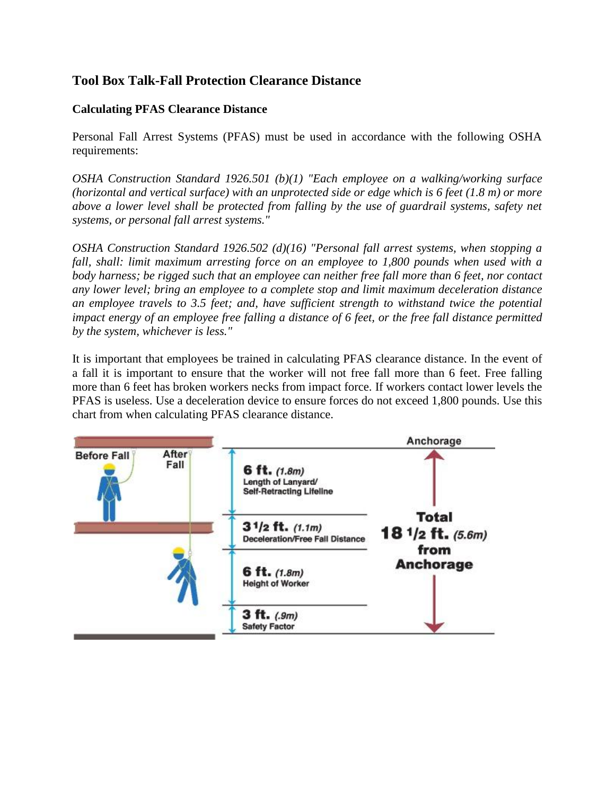## **Tool Box Talk-Fall Protection Clearance Distance**

## **Calculating PFAS Clearance Distance**

Personal Fall Arrest Systems (PFAS) must be used in accordance with the following OSHA requirements:

*OSHA Construction Standard 1926.501 (b)(1) "Each employee on a walking/working surface (horizontal and vertical surface) with an unprotected side or edge which is 6 feet (1.8 m) or more above a lower level shall be protected from falling by the use of guardrail systems, safety net systems, or personal fall arrest systems."*

*OSHA Construction Standard 1926.502 (d)(16) "Personal fall arrest systems, when stopping a fall, shall: limit maximum arresting force on an employee to 1,800 pounds when used with a body harness; be rigged such that an employee can neither free fall more than 6 feet, nor contact any lower level; bring an employee to a complete stop and limit maximum deceleration distance an employee travels to 3.5 feet; and, have sufficient strength to withstand twice the potential impact energy of an employee free falling a distance of 6 feet, or the free fall distance permitted by the system, whichever is less."*

It is important that employees be trained in calculating PFAS clearance distance. In the event of a fall it is important to ensure that the worker will not free fall more than 6 feet. Free falling more than 6 feet has broken workers necks from impact force. If workers contact lower levels the PFAS is useless. Use a deceleration device to ensure forces do not exceed 1,800 pounds. Use this chart from when calculating PFAS clearance distance.